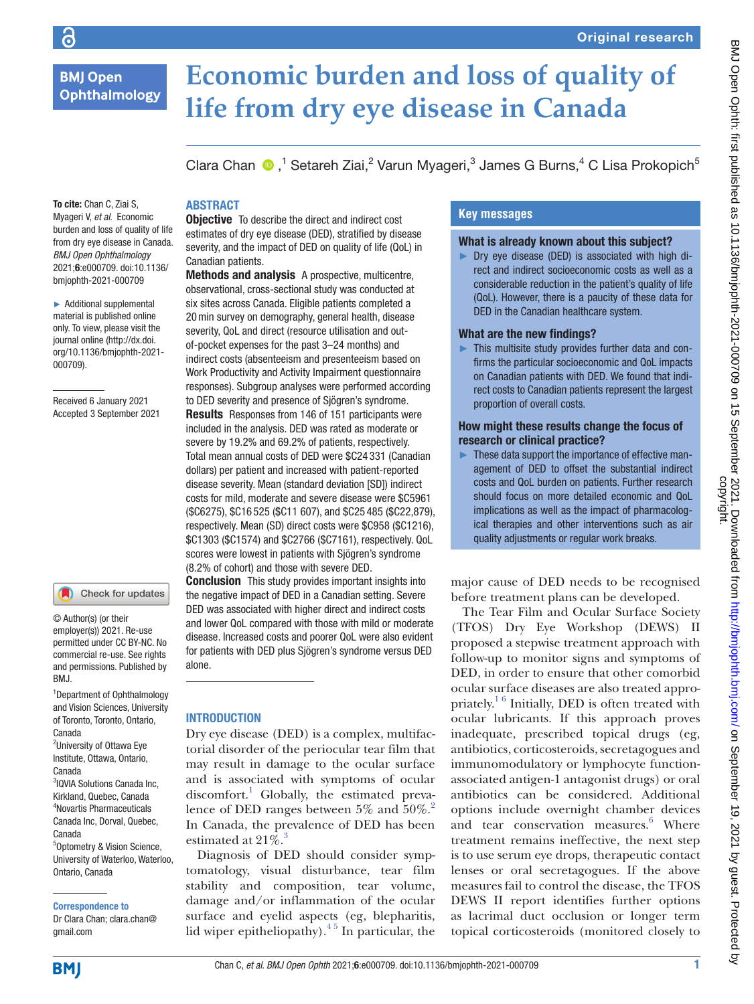**BMJ Open Ophthalmology** 

To cite: Chan C, Ziai S, Myageri V, *et al*. Economic burden and loss of quality of life from dry eye disease in Canada. *BMJ Open Ophthalmology* 2021;6:e000709. doi:10.1136/ bmjophth-2021-000709 ► Additional supplemental material is published online only. To view, please visit the

# **Economic burden and loss of quality of life from dry eye disease in Canada**

Clara Chan  $\bigcirc$ ,<sup>1</sup> Setareh Ziai,<sup>2</sup> Varun Myageri,<sup>3</sup> James G Burns,<sup>4</sup> C Lisa Prokopich<sup>5</sup>

# **ARSTRACT**

**Objective** To describe the direct and indirect cost estimates of dry eye disease (DED), stratified by disease severity, and the impact of DED on quality of life (QoL) in Canadian patients.

Methods and analysis A prospective, multicentre, observational, cross-sectional study was conducted at six sites across Canada. Eligible patients completed a 20min survey on demography, general health, disease severity, QoL and direct (resource utilisation and outof-pocket expenses for the past 3–24 months) and indirect costs (absenteeism and presenteeism based on Work Productivity and Activity Impairment questionnaire responses). Subgroup analyses were performed according to DED severity and presence of Sjögren's syndrome. Results Responses from 146 of 151 participants were included in the analysis. DED was rated as moderate or severe by 19.2% and 69.2% of patients, respectively. Total mean annual costs of DED were \$C24 331 (Canadian dollars) per patient and increased with patient-reported disease severity. Mean (standard deviation [SD]) indirect costs for mild, moderate and severe disease were \$C5961 (\$C6275), \$C16 525 (\$C11 607), and \$C25 485 (\$C22,879), respectively. Mean (SD) direct costs were \$C958 (\$C1216), \$C1303 (\$C1574) and \$C2766 (\$C7161), respectively. QoL scores were lowest in patients with Sjögren's syndrome (8.2% of cohort) and those with severe DED.

**Conclusion** This study provides important insights into the negative impact of DED in a Canadian setting. Severe DED was associated with higher direct and indirect costs and lower QoL compared with those with mild or moderate disease. Increased costs and poorer QoL were also evident for patients with DED plus Sjögren's syndrome versus DED alone.

### **INTRODUCTION**

Dry eye disease (DED) is a complex, multifactorial disorder of the periocular tear film that may result in damage to the ocular surface and is associated with symptoms of ocular discomfort.<sup>[1](#page-7-0)</sup> Globally, the estimated prevalence of DED ranges between  $5\%$  and  $50\%$ .<sup>[2](#page-7-1)</sup> In Canada, the prevalence of DED has been estimated at  $21\%$ <sup>[3](#page-7-2)</sup>

Diagnosis of DED should consider symptomatology, visual disturbance, tear film stability and composition, tear volume, damage and/or inflammation of the ocular surface and eyelid aspects (eg, blepharitis, lid wiper epitheliopathy)[.4 5](#page-7-3) In particular, the

# **Key messages**

#### What is already known about this subject?

► Dry eye disease (DED) is associated with high direct and indirect socioeconomic costs as well as a considerable reduction in the patient's quality of life (QoL). However, there is a paucity of these data for DED in the Canadian healthcare system.

#### What are the new findings?

► This multisite study provides further data and confirms the particular socioeconomic and QoL impacts on Canadian patients with DED. We found that indirect costs to Canadian patients represent the largest proportion of overall costs.

### How might these results change the focus of research or clinical practice?

► These data support the importance of effective management of DED to offset the substantial indirect costs and QoL burden on patients. Further research should focus on more detailed economic and QoL implications as well as the impact of pharmacological therapies and other interventions such as air quality adjustments or regular work breaks.

major cause of DED needs to be recognised before treatment plans can be developed.

The Tear Film and Ocular Surface Society (TFOS) Dry Eye Workshop (DEWS) II proposed a stepwise treatment approach with follow-up to monitor signs and symptoms of DED, in order to ensure that other comorbid ocular surface diseases are also treated appropriately. $16$  Initially, DED is often treated with ocular lubricants. If this approach proves inadequate, prescribed topical drugs (eg, antibiotics, corticosteroids, secretagogues and immunomodulatory or lymphocyte functionassociated antigen-1 antagonist drugs) or oral antibiotics can be considered. Additional options include overnight chamber devices and tear conservation measures.<sup>[6](#page-7-4)</sup> Where treatment remains ineffective, the next step is to use serum eye drops, therapeutic contact lenses or oral secretagogues. If the above measures fail to control the disease, the TFOS DEWS II report identifies further options as lacrimal duct occlusion or longer term topical corticosteroids (monitored closely to

#### journal online ([http://dx.doi.](http://dx.doi.org/10.1136/bmjophth-2021-000709) [org/10.1136/bmjophth-2021-](http://dx.doi.org/10.1136/bmjophth-2021-000709)

[000709](http://dx.doi.org/10.1136/bmjophth-2021-000709)).

Received 6 January 2021 Accepted 3 September 2021

#### Check for updates

© Author(s) (or their employer(s)) 2021. Re-use permitted under CC BY-NC. No commercial re-use. See rights and permissions. Published by BMJ.

1 Department of Ophthalmology and Vision Sciences, University of Toronto, Toronto, Ontario, Canada <sup>2</sup>University of Ottawa Eye Institute, Ottawa, Ontario, Canada 3 IQVIA Solutions Canada Inc, Kirkland, Quebec, Canada 4 Novartis Pharmaceuticals Canada Inc, Dorval, Quebec, Canada 5 Optometry & Vision Science, University of Waterloo, Waterloo, Ontario, Canada

Correspondence to

Dr Clara Chan; clara.chan@ gmail.com

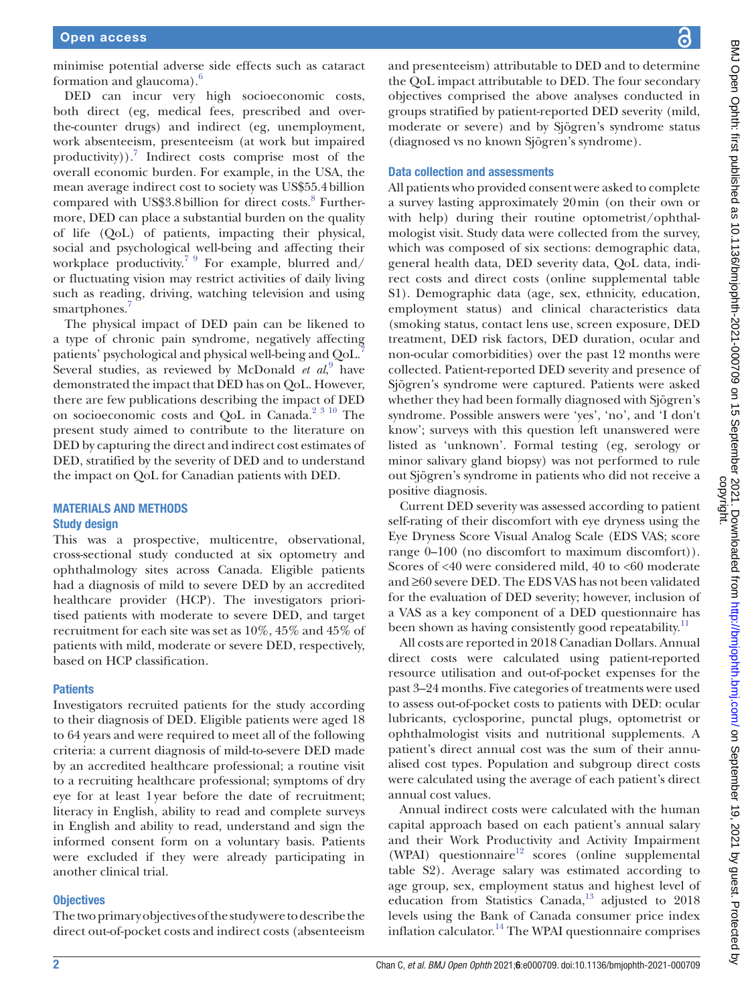minimise potential adverse side effects such as cataract formation and glaucoma). $\frac{6}{5}$  $\frac{6}{5}$  $\frac{6}{5}$ 

DED can incur very high socioeconomic costs, both direct (eg, medical fees, prescribed and overthe-counter drugs) and indirect (eg, unemployment, work absenteeism, presenteeism (at work but impaired productivity)).<sup>7</sup> Indirect costs comprise most of the overall economic burden. For example, in the USA, the mean average indirect cost to society was US\$55.4billion compared with US\$3.[8](#page-7-6) billion for direct costs.<sup>8</sup> Furthermore, DED can place a substantial burden on the quality of life (QoL) of patients, impacting their physical, social and psychological well-being and affecting their workplace productivity.<sup>79</sup> For example, blurred and/ or fluctuating vision may restrict activities of daily living such as reading, driving, watching television and using smartphones.<sup>[7](#page-7-5)</sup>

The physical impact of DED pain can be likened to a type of chronic pain syndrome, negatively affecting patients' psychological and physical well-being and QoL.[7](#page-7-5) Several studies, as reviewed by McDonald *et al*,<sup>[9](#page-7-7)</sup> have demonstrated the impact that DED has on QoL. However, there are few publications describing the impact of DED on socioeconomic costs and QoL in Canada.<sup>[2 3 10](#page-7-1)</sup> The present study aimed to contribute to the literature on DED by capturing the direct and indirect cost estimates of DED, stratified by the severity of DED and to understand the impact on QoL for Canadian patients with DED.

# MATERIALS AND METHODS

#### Study design

This was a prospective, multicentre, observational, cross-sectional study conducted at six optometry and ophthalmology sites across Canada. Eligible patients had a diagnosis of mild to severe DED by an accredited healthcare provider (HCP). The investigators prioritised patients with moderate to severe DED, and target recruitment for each site was set as 10%, 45% and 45% of patients with mild, moderate or severe DED, respectively, based on HCP classification.

### **Patients**

Investigators recruited patients for the study according to their diagnosis of DED. Eligible patients were aged 18 to 64 years and were required to meet all of the following criteria: a current diagnosis of mild-to-severe DED made by an accredited healthcare professional; a routine visit to a recruiting healthcare professional; symptoms of dry eye for at least 1year before the date of recruitment; literacy in English, ability to read and complete surveys in English and ability to read, understand and sign the informed consent form on a voluntary basis. Patients were excluded if they were already participating in another clinical trial.

### **Objectives**

The two primary objectives of the study were to describe the direct out-of-pocket costs and indirect costs (absenteeism

and presenteeism) attributable to DED and to determine the QoL impact attributable to DED. The four secondary objectives comprised the above analyses conducted in groups stratified by patient-reported DED severity (mild, moderate or severe) and by Sjögren's syndrome status (diagnosed vs no known Sjögren's syndrome).

# Data collection and assessments

All patients who provided consent were asked to complete a survey lasting approximately 20min (on their own or with help) during their routine optometrist/ophthalmologist visit. Study data were collected from the survey, which was composed of six sections: demographic data, general health data, DED severity data, QoL data, indirect costs and direct costs ([online supplemental table](https://dx.doi.org/10.1136/bmjophth-2021-000709) [S1](https://dx.doi.org/10.1136/bmjophth-2021-000709)). Demographic data (age, sex, ethnicity, education, employment status) and clinical characteristics data (smoking status, contact lens use, screen exposure, DED treatment, DED risk factors, DED duration, ocular and non-ocular comorbidities) over the past 12 months were collected. Patient-reported DED severity and presence of Sjögren's syndrome were captured. Patients were asked whether they had been formally diagnosed with Sjögren's syndrome. Possible answers were 'yes', 'no', and 'I don't know'; surveys with this question left unanswered were listed as 'unknown'. Formal testing (eg, serology or minor salivary gland biopsy) was not performed to rule out Sjögren's syndrome in patients who did not receive a positive diagnosis.

Current DED severity was assessed according to patient self-rating of their discomfort with eye dryness using the Eye Dryness Score Visual Analog Scale (EDS VAS; score range 0–100 (no discomfort to maximum discomfort)). Scores of <40 were considered mild, 40 to <60 moderate and ≥60 severe DED. The EDS VAS has not been validated for the evaluation of DED severity; however, inclusion of a VAS as a key component of a DED questionnaire has been shown as having consistently good repeatability.<sup>[11](#page-7-8)</sup>

All costs are reported in 2018 Canadian Dollars. Annual direct costs were calculated using patient-reported resource utilisation and out-of-pocket expenses for the past 3–24 months. Five categories of treatments were used to assess out-of-pocket costs to patients with DED: ocular lubricants, cyclosporine, punctal plugs, optometrist or ophthalmologist visits and nutritional supplements. A patient's direct annual cost was the sum of their annualised cost types. Population and subgroup direct costs were calculated using the average of each patient's direct annual cost values.

Annual indirect costs were calculated with the human capital approach based on each patient's annual salary and their Work Productivity and Activity Impairment (WPAI) questionnaire $12$  scores ([online supplemental](https://dx.doi.org/10.1136/bmjophth-2021-000709) [table S2](https://dx.doi.org/10.1136/bmjophth-2021-000709)). Average salary was estimated according to age group, sex, employment status and highest level of education from Statistics Canada, $^{13}$  adjusted to 2018 levels using the Bank of Canada consumer price index inflation calculator.<sup>[14](#page-7-11)</sup> The WPAI questionnaire comprises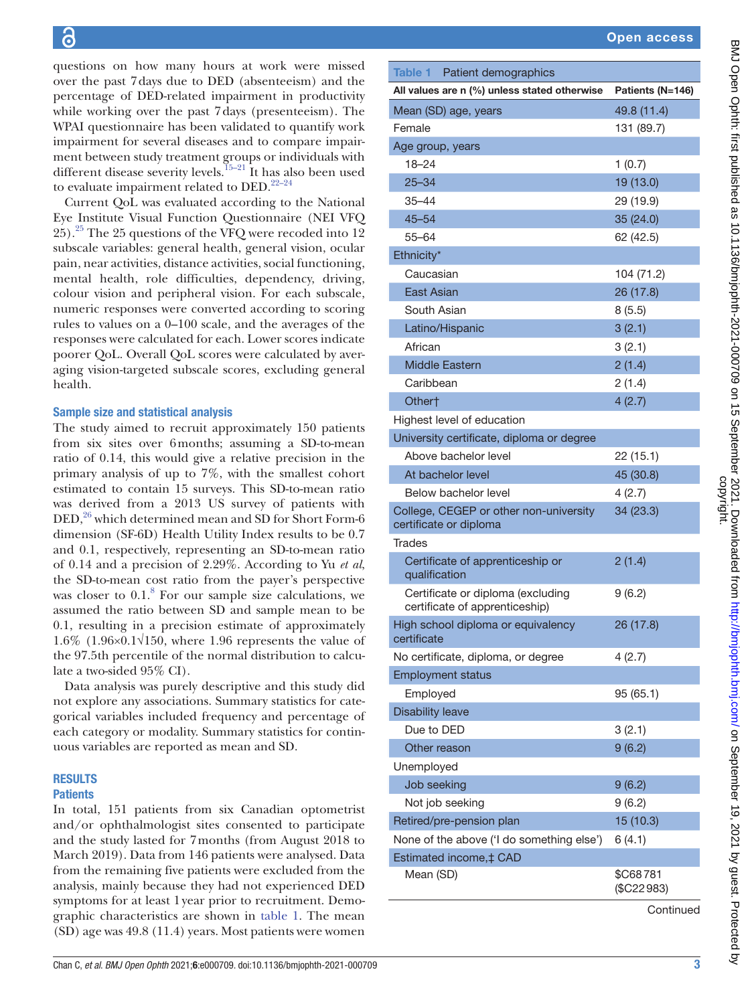questions on how many hours at work were missed over the past 7days due to DED (absenteeism) and the percentage of DED-related impairment in productivity while working over the past 7days (presenteeism). The WPAI questionnaire has been validated to quantify work impairment for several diseases and to compare impairment between study treatment groups or individuals with different disease severity levels.<sup>15–21</sup> It has also been used to evaluate impairment related to DED.<sup>22-24</sup>

Current QoL was evaluated according to the National Eye Institute Visual Function Questionnaire (NEI VFQ 25)[.25](#page-7-14) The 25 questions of the VFQ were recoded into 12 subscale variables: general health, general vision, ocular pain, near activities, distance activities, social functioning, mental health, role difficulties, dependency, driving, colour vision and peripheral vision. For each subscale, numeric responses were converted according to scoring rules to values on a 0–100 scale, and the averages of the responses were calculated for each. Lower scores indicate poorer QoL. Overall QoL scores were calculated by averaging vision-targeted subscale scores, excluding general health.

## Sample size and statistical analysis

The study aimed to recruit approximately 150 patients from six sites over 6months; assuming a SD-to-mean ratio of 0.14, this would give a relative precision in the primary analysis of up to 7%, with the smallest cohort estimated to contain 15 surveys. This SD-to-mean ratio was derived from a 2013 US survey of patients with  $DED<sub>1</sub><sup>26</sup>$  $DED<sub>1</sub><sup>26</sup>$  $DED<sub>1</sub><sup>26</sup>$  which determined mean and SD for Short Form-6 dimension (SF-6D) Health Utility Index results to be 0.7 and 0.1, respectively, representing an SD-to-mean ratio of 0.14 and a precision of 2.29%. According to Yu *et al*, the SD-to-mean cost ratio from the payer's perspective was closer to  $0.1$ .<sup>[8](#page-7-6)</sup> For our sample size calculations, we assumed the ratio between SD and sample mean to be 0.1, resulting in a precision estimate of approximately 1.6% (1.96×0.1√150, where 1.96 represents the value of the 97.5th percentile of the normal distribution to calculate a two-sided 95% CI).

Data analysis was purely descriptive and this study did not explore any associations. Summary statistics for categorical variables included frequency and percentage of each category or modality. Summary statistics for continuous variables are reported as mean and SD.

# RESULTS

# **Patients**

In total, 151 patients from six Canadian optometrist and/or ophthalmologist sites consented to participate and the study lasted for 7months (from August 2018 to March 2019). Data from 146 patients were analysed. Data from the remaining five patients were excluded from the analysis, mainly because they had not experienced DED symptoms for at least 1year prior to recruitment. Demographic characteristics are shown in [table](#page-2-0) 1. The mean (SD) age was 49.8 (11.4) years. Most patients were women

<span id="page-2-0"></span>

|                                                                              | <b>Open access</b>       |
|------------------------------------------------------------------------------|--------------------------|
|                                                                              |                          |
| Table 1 Patient demographics<br>All values are n (%) unless stated otherwise | Patients (N=146)         |
|                                                                              |                          |
| Mean (SD) age, years                                                         | 49.8 (11.4)              |
| Female                                                                       | 131 (89.7)               |
| Age group, years<br>$18 - 24$                                                | 1(0.7)                   |
| $25 - 34$                                                                    | 19 (13.0)                |
| $35 - 44$                                                                    | 29 (19.9)                |
| $45 - 54$                                                                    | 35 (24.0)                |
| 55-64                                                                        |                          |
| Ethnicity*                                                                   | 62 (42.5)                |
| Caucasian                                                                    |                          |
| East Asian                                                                   | 104 (71.2)<br>26 (17.8)  |
| South Asian                                                                  |                          |
| Latino/Hispanic                                                              | 8(5.5)<br>3(2.1)         |
| African                                                                      | 3(2.1)                   |
| <b>Middle Eastern</b>                                                        | 2(1.4)                   |
| Caribbean                                                                    | 2(1.4)                   |
| Other <sup>+</sup>                                                           | 4(2.7)                   |
| Highest level of education                                                   |                          |
| University certificate, diploma or degree                                    |                          |
| Above bachelor level                                                         |                          |
| At bachelor level                                                            | 22 (15.1)<br>45 (30.8)   |
| Below bachelor level                                                         | 4(2.7)                   |
| College, CEGEP or other non-university                                       | 34(23.3)                 |
| certificate or diploma                                                       |                          |
| Trades                                                                       |                          |
| Certificate of apprenticeship or<br>qualification                            | 2(1.4)                   |
| Certificate or diploma (excluding<br>certificate of apprenticeship)          | 9(6.2)                   |
| High school diploma or equivalency<br>certificate                            | 26 (17.8)                |
| No certificate, diploma, or degree                                           | 4(2.7)                   |
| <b>Employment status</b>                                                     |                          |
| Employed                                                                     | 95 (65.1)                |
| <b>Disability leave</b>                                                      |                          |
| Due to DED                                                                   | 3(2.1)                   |
| Other reason                                                                 | 9(6.2)                   |
| Unemployed                                                                   |                          |
| Job seeking                                                                  | 9(6.2)                   |
| Not job seeking                                                              | 9(6.2)                   |
| Retired/pre-pension plan                                                     | 15 (10.3)                |
| None of the above ('I do something else')                                    | 6(4.1)                   |
| Estimated income, ‡ CAD                                                      |                          |
| Mean (SD)                                                                    | \$C68781<br>$(\$C22983)$ |

**Continued**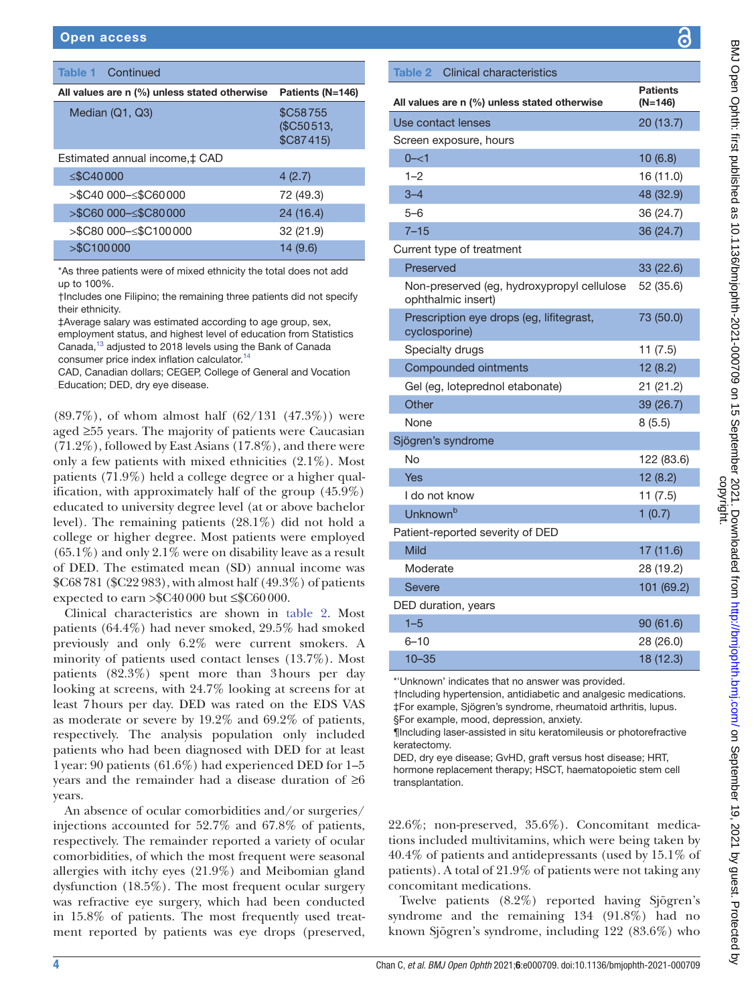| <b>Table 1 Continued</b>                     |                                           |
|----------------------------------------------|-------------------------------------------|
| All values are n (%) unless stated otherwise | Patients (N=146)                          |
| Median (Q1, Q3)                              | <b>\$C58755</b><br>(\$C50513,<br>\$C87415 |
| Estimated annual income, ‡ CAD               |                                           |
| $\leq$ \$C40000                              | 4(2.7)                                    |
| >\$C40 000–≤\$C60 000                        | 72 (49.3)                                 |
| >\$C60 000-≤\$C80 000                        | 24 (16.4)                                 |
| >\$C80 000-≤\$C100 000                       | 32 (21.9)                                 |
| > \$C100000                                  | 14(9.6)                                   |

\*As three patients were of mixed ethnicity the total does not add up to 100%.

†Includes one Filipino; the remaining three patients did not specify their ethnicity.

‡Average salary was estimated according to age group, sex, employment status, and highest level of education from Statistics Canada[,13](#page-7-10) adjusted to 2018 levels using the Bank of Canada consumer price index inflation calculator.<sup>14</sup>

CAD, Canadian dollars; CEGEP, College of General and Vocation Education; DED, dry eye disease.

 $(89.7\%)$ , of whom almost half  $(62/131 \ (47.3\%)$  were aged ≥55 years. The majority of patients were Caucasian  $(71.2\%)$ , followed by East Asians  $(17.8\%)$ , and there were only a few patients with mixed ethnicities (2.1%). Most patients (71.9%) held a college degree or a higher qualification, with approximately half of the group (45.9%) educated to university degree level (at or above bachelor level). The remaining patients (28.1%) did not hold a college or higher degree. Most patients were employed  $(65.1\%)$  and only 2.1% were on disability leave as a result of DED. The estimated mean (SD) annual income was \$C68781 (\$C22 983), with almost half (49.3%) of patients expected to earn  $\frac{1}{2}$ C40000 but  $\frac{1}{2}$ C60000.

Clinical characteristics are shown in [table](#page-3-0) 2. Most patients (64.4%) had never smoked, 29.5% had smoked previously and only 6.2% were current smokers. A minority of patients used contact lenses (13.7%). Most patients (82.3%) spent more than 3hours per day looking at screens, with 24.7% looking at screens for at least 7hours per day. DED was rated on the EDS VAS as moderate or severe by 19.2% and 69.2% of patients, respectively. The analysis population only included patients who had been diagnosed with DED for at least 1year: 90 patients (61.6%) had experienced DED for 1–5 years and the remainder had a disease duration of ≥6 years.

An absence of ocular comorbidities and/or surgeries/ injections accounted for 52.7% and 67.8% of patients, respectively. The remainder reported a variety of ocular comorbidities, of which the most frequent were seasonal allergies with itchy eyes (21.9%) and Meibomian gland dysfunction (18.5%). The most frequent ocular surgery was refractive eye surgery, which had been conducted in 15.8% of patients. The most frequently used treatment reported by patients was eye drops (preserved,

**Patients** (N=146)

्ट

# <span id="page-3-0"></span>Table 2 Clinical characteristics All values are n (%) unless stated otherwise

| Use contact lenses                                               | 20 (13.7)  |
|------------------------------------------------------------------|------------|
| Screen exposure, hours                                           |            |
| $0 - 1$                                                          | 10(6.8)    |
| $1 - 2$                                                          | 16 (11.0)  |
| $3 - 4$                                                          | 48 (32.9)  |
| $5 - 6$                                                          | 36 (24.7)  |
| $7 - 15$                                                         | 36 (24.7)  |
| Current type of treatment                                        |            |
| Preserved                                                        | 33(22.6)   |
| Non-preserved (eg, hydroxypropyl cellulose<br>ophthalmic insert) | 52 (35.6)  |
| Prescription eye drops (eg, lifitegrast,<br>cyclosporine)        | 73 (50.0)  |
| Specialty drugs                                                  | 11(7.5)    |
| Compounded ointments                                             | 12(8.2)    |
| Gel (eg, loteprednol etabonate)                                  | 21 (21.2)  |
| Other                                                            | 39 (26.7)  |
| None                                                             | 8(5.5)     |
| Sjögren's syndrome                                               |            |
| No                                                               | 122 (83.6) |
| Yes                                                              | 12(8.2)    |
| I do not know                                                    | 11(7.5)    |
| Unknown <sup>b</sup>                                             | 1(0.7)     |
| Patient-reported severity of DED                                 |            |
| Mild                                                             | 17 (11.6)  |
| Moderate                                                         | 28 (19.2)  |
| <b>Severe</b>                                                    | 101 (69.2) |
| DED duration, years                                              |            |
| $1 - 5$                                                          | 90 (61.6)  |
| $6 - 10$                                                         | 28 (26.0)  |
| $10 - 35$                                                        | 18 (12.3)  |

\*'Unknown' indicates that no answer was provided.

†Including hypertension, antidiabetic and analgesic medications. ‡For example, Sjögren's syndrome, rheumatoid arthritis, lupus. §For example, mood, depression, anxiety.

¶Including laser-assisted in situ keratomileusis or photorefractive keratectomy.

DED, dry eye disease; GvHD, graft versus host disease; HRT, hormone replacement therapy; HSCT, haematopoietic stem cell transplantation.

22.6%; non-preserved, 35.6%). Concomitant medications included multivitamins, which were being taken by 40.4% of patients and antidepressants (used by 15.1% of patients). A total of 21.9% of patients were not taking any concomitant medications.

Twelve patients (8.2%) reported having Sjögren's syndrome and the remaining 134 (91.8%) had no known Sjögren's syndrome, including 122 (83.6%) who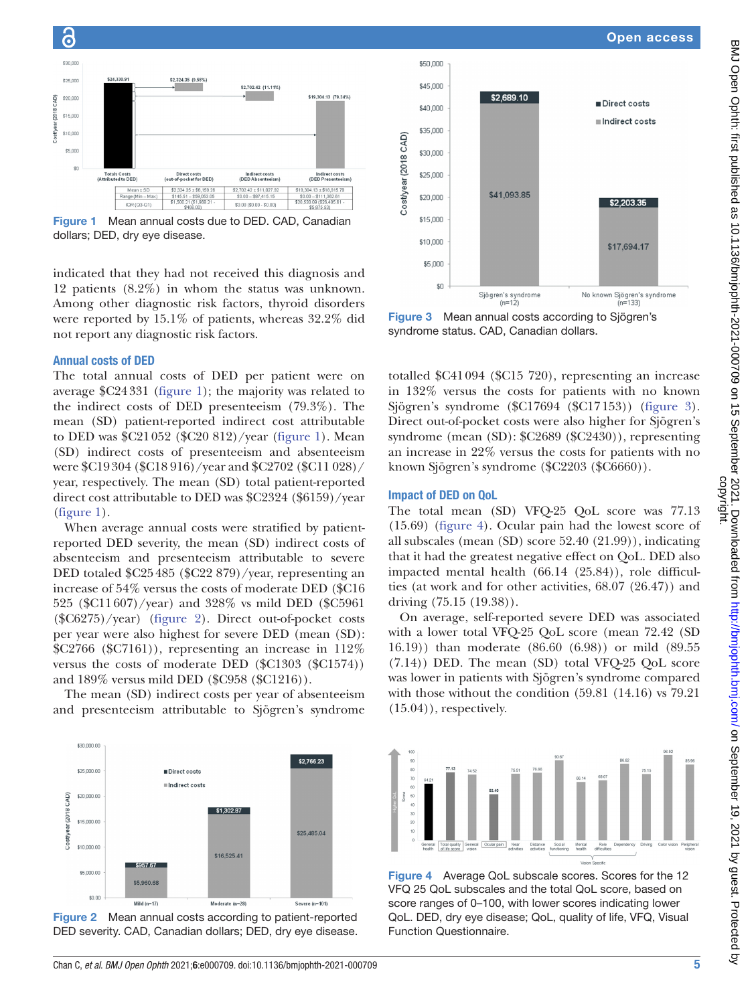

<span id="page-4-0"></span>Figure 1 Mean annual costs due to DED. CAD, Canadian dollars; DED, dry eye disease.

indicated that they had not received this diagnosis and 12 patients (8.2%) in whom the status was unknown. Among other diagnostic risk factors, thyroid disorders were reported by 15.1% of patients, whereas 32.2% did not report any diagnostic risk factors.

### Annual costs of DED

6

The total annual costs of DED per patient were on average \$C24331 [\(figure](#page-4-0) 1); the majority was related to the indirect costs of DED presenteeism (79.3%). The mean (SD) patient-reported indirect cost attributable to DED was \$C21052 (\$C20 812)/year [\(figure](#page-4-0) 1). Mean (SD) indirect costs of presenteeism and absenteeism were \$C19304 (\$C18 916)/year and \$C2702 (\$C11 028)/ year, respectively. The mean (SD) total patient-reported direct cost attributable to DED was \$C2324 (\$6159)/year [\(figure](#page-4-0) 1).

When average annual costs were stratified by patientreported DED severity, the mean (SD) indirect costs of absenteeism and presenteeism attributable to severe DED totaled \$C25485 (\$C22 879)/year, representing an increase of 54% versus the costs of moderate DED (\$C16 525 (\$C11607)/year) and 328% vs mild DED (\$C5961 (\$C6275)/year) ([figure](#page-4-1) 2). Direct out-of-pocket costs per year were also highest for severe DED (mean (SD):  $\text{$C2766 ($C7161)}$ , representing an increase in 112\% versus the costs of moderate DED (\$C1303 (\$C1574)) and 189% versus mild DED (\$C958 (\$C1216)).

The mean (SD) indirect costs per year of absenteeism and presenteeism attributable to Sjögren's syndrome



<span id="page-4-2"></span>Figure 3 Mean annual costs according to Sjögren's syndrome status. CAD, Canadian dollars.

totalled \$C41094 (\$C15 720), representing an increase in 132% versus the costs for patients with no known Sjögren's syndrome (\$C17694 (\$C17153)) ([figure](#page-4-2) 3). Direct out-of-pocket costs were also higher for Sjögren's syndrome (mean (SD): \$C2689 (\$C2430)), representing an increase in 22% versus the costs for patients with no known Sjögren's syndrome (\$C2203 (\$C6660)).

## Impact of DED on QoL

The total mean (SD) VFQ-25 QoL score was 77.13 (15.69) [\(figure](#page-4-3) 4). Ocular pain had the lowest score of all subscales (mean (SD) score 52.40 (21.99)), indicating that it had the greatest negative effect on QoL. DED also impacted mental health (66.14 (25.84)), role difficulties (at work and for other activities, 68.07 (26.47)) and driving (75.15 (19.38)).

On average, self-reported severe DED was associated with a lower total VFQ-25 QoL score (mean 72.42 (SD 16.19)) than moderate (86.60 (6.98)) or mild (89.55 (7.14)) DED. The mean (SD) total VFQ-25 QoL score was lower in patients with Sjögren's syndrome compared with those without the condition (59.81 (14.16) vs 79.21  $(15.04)$ , respectively.



<span id="page-4-1"></span>Figure 2 Mean annual costs according to patient-reported DED severity. CAD, Canadian dollars; DED, dry eye disease.



<span id="page-4-3"></span>Figure 4 Average QoL subscale scores. Scores for the 12 VFQ 25 QoL subscales and the total QoL score, based on score ranges of 0–100, with lower scores indicating lower QoL. DED, dry eye disease; QoL, quality of life, VFQ, Visual Function Questionnaire.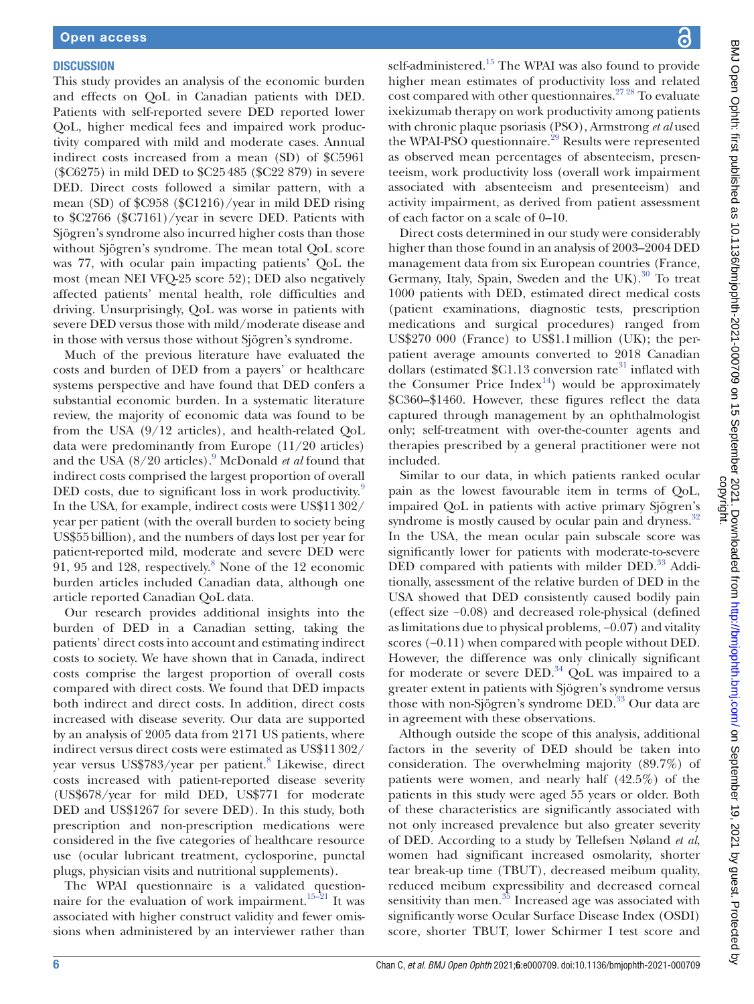#### **DISCUSSION**

This study provides an analysis of the economic burden and effects on QoL in Canadian patients with DED. Patients with self-reported severe DED reported lower QoL, higher medical fees and impaired work productivity compared with mild and moderate cases. Annual indirect costs increased from a mean (SD) of \$C5961 (\$C6275) in mild DED to \$C25485 (\$C22 879) in severe DED. Direct costs followed a similar pattern, with a mean (SD) of \$C958 (\$C1216)/year in mild DED rising to \$C2766 (\$C7161)/year in severe DED. Patients with Sjögren's syndrome also incurred higher costs than those without Sjögren's syndrome. The mean total QoL score was 77, with ocular pain impacting patients' QoL the most (mean NEI VFQ-25 score 52); DED also negatively affected patients' mental health, role difficulties and driving. Unsurprisingly, QoL was worse in patients with severe DED versus those with mild/moderate disease and in those with versus those without Sjögren's syndrome.

Much of the previous literature have evaluated the costs and burden of DED from a payers' or healthcare systems perspective and have found that DED confers a substantial economic burden. In a systematic literature review, the majority of economic data was found to be from the USA (9/12 articles), and health-related QoL data were predominantly from Europe (11/20 articles) and the USA (8/20 articles).<sup>9</sup> McDonald *et al* found that indirect costs comprised the largest proportion of overall DED costs, due to significant loss in work productivity.<sup>[9](#page-7-7)</sup> In the USA, for example, indirect costs were US\$11302/ year per patient (with the overall burden to society being US\$55billion), and the numbers of days lost per year for patient-reported mild, moderate and severe DED were  $91, 95$  and 12[8](#page-7-6), respectively. $8$  None of the 12 economic burden articles included Canadian data, although one article reported Canadian QoL data.

Our research provides additional insights into the burden of DED in a Canadian setting, taking the patients' direct costs into account and estimating indirect costs to society. We have shown that in Canada, indirect costs comprise the largest proportion of overall costs compared with direct costs. We found that DED impacts both indirect and direct costs. In addition, direct costs increased with disease severity. Our data are supported by an analysis of 2005 data from 2171 US patients, where indirect versus direct costs were estimated as US\$11302/ year versus US\$7[8](#page-7-6)3/year per patient.<sup>8</sup> Likewise, direct costs increased with patient-reported disease severity (US\$678/year for mild DED, US\$771 for moderate DED and US\$1267 for severe DED). In this study, both prescription and non-prescription medications were considered in the five categories of healthcare resource use (ocular lubricant treatment, cyclosporine, punctal plugs, physician visits and nutritional supplements).

The WPAI questionnaire is a validated questionnaire for the evaluation of work impairment.<sup>15-21</sup> It was associated with higher construct validity and fewer omissions when administered by an interviewer rather than

self-administered.<sup>15</sup> The WPAI was also found to provide higher mean estimates of productivity loss and related cost compared with other questionnaires. $27\,28}$  To evaluate ixekizumab therapy on work productivity among patients with chronic plaque psoriasis (PSO), Armstrong *et al* used the WPAI-PSO questionnaire.<sup>[29](#page-7-17)</sup> Results were represented as observed mean percentages of absenteeism, presenteeism, work productivity loss (overall work impairment associated with absenteeism and presenteeism) and activity impairment, as derived from patient assessment of each factor on a scale of 0–10.

Direct costs determined in our study were considerably higher than those found in an analysis of 2003–2004 DED management data from six European countries (France, Germany, Italy, Spain, Sweden and the UK).<sup>30</sup> To treat 1000 patients with DED, estimated direct medical costs (patient examinations, diagnostic tests, prescription medications and surgical procedures) ranged from US\$270 000 (France) to US\$1.1million (UK); the perpatient average amounts converted to 2018 Canadian dollars (estimated  $C1.13$  conversion rate<sup>31</sup> inflated with the Consumer Price Index<sup>[14](#page-7-11)</sup>) would be approximately \$C360–\$1460. However, these figures reflect the data captured through management by an ophthalmologist only; self-treatment with over-the-counter agents and therapies prescribed by a general practitioner were not included.

Similar to our data, in which patients ranked ocular pain as the lowest favourable item in terms of QoL, impaired QoL in patients with active primary Sjögren's syndrome is mostly caused by ocular pain and dryness.<sup>32</sup> In the USA, the mean ocular pain subscale score was significantly lower for patients with moderate-to-severe DED compared with patients with milder DED.<sup>[33](#page-7-21)</sup> Additionally, assessment of the relative burden of DED in the USA showed that DED consistently caused bodily pain (effect size −0.08) and decreased role-physical (defined as limitations due to physical problems, −0.07) and vitality scores (−0.11) when compared with people without DED. However, the difference was only clinically significant for moderate or severe DED. $34$  QoL was impaired to a greater extent in patients with Sjögren's syndrome versus those with non-Sjögren's syndrome DED.<sup>33</sup> Our data are in agreement with these observations.

Although outside the scope of this analysis, additional factors in the severity of DED should be taken into consideration. The overwhelming majority (89.7%) of patients were women, and nearly half (42.5%) of the patients in this study were aged 55 years or older. Both of these characteristics are significantly associated with not only increased prevalence but also greater severity of DED. According to a study by Tellefsen Nøland *et al*, women had significant increased osmolarity, shorter tear break-up time (TBUT), decreased meibum quality, reduced meibum expressibility and decreased corneal sensitivity than men.<sup>35</sup> Increased age was associated with significantly worse Ocular Surface Disease Index (OSDI) score, shorter TBUT, lower Schirmer I test score and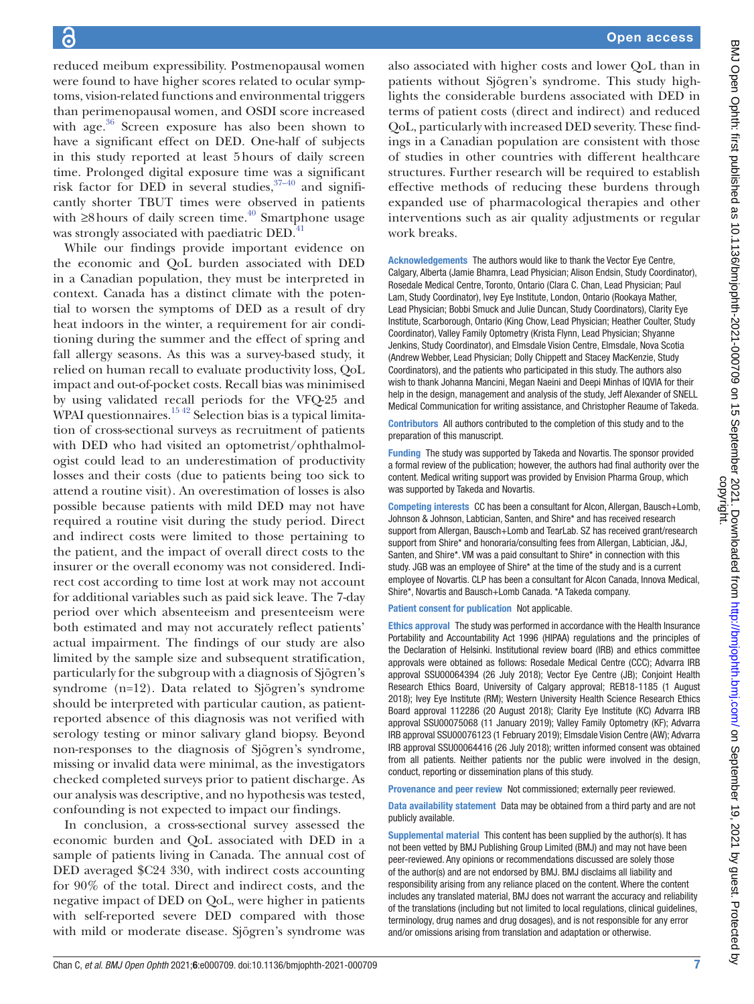reduced meibum expressibility. Postmenopausal women were found to have higher scores related to ocular symptoms, vision-related functions and environmental triggers than perimenopausal women, and OSDI score increased with age. $36$  Screen exposure has also been shown to have a significant effect on DED. One-half of subjects in this study reported at least 5hours of daily screen time. Prolonged digital exposure time was a significant risk factor for DED in several studies,  $37-40$  and significantly shorter TBUT times were observed in patients with  $\geq$ 8 hours of daily screen time.<sup>40</sup> Smartphone usage was strongly associated with paediatric DED.<sup>[41](#page-7-27)</sup>

While our findings provide important evidence on the economic and QoL burden associated with DED in a Canadian population, they must be interpreted in context. Canada has a distinct climate with the potential to worsen the symptoms of DED as a result of dry heat indoors in the winter, a requirement for air conditioning during the summer and the effect of spring and fall allergy seasons. As this was a survey-based study, it relied on human recall to evaluate productivity loss, QoL impact and out-of-pocket costs. Recall bias was minimised by using validated recall periods for the VFQ-25 and WPAI questionnaires.<sup>15 42</sup> Selection bias is a typical limitation of cross-sectional surveys as recruitment of patients with DED who had visited an optometrist/ophthalmologist could lead to an underestimation of productivity losses and their costs (due to patients being too sick to attend a routine visit). An overestimation of losses is also possible because patients with mild DED may not have required a routine visit during the study period. Direct and indirect costs were limited to those pertaining to the patient, and the impact of overall direct costs to the insurer or the overall economy was not considered. Indirect cost according to time lost at work may not account for additional variables such as paid sick leave. The 7-day period over which absenteeism and presenteeism were both estimated and may not accurately reflect patients' actual impairment. The findings of our study are also limited by the sample size and subsequent stratification, particularly for the subgroup with a diagnosis of Sjögren's syndrome (n=12). Data related to Sjögren's syndrome should be interpreted with particular caution, as patientreported absence of this diagnosis was not verified with serology testing or minor salivary gland biopsy. Beyond non-responses to the diagnosis of Sjögren's syndrome, missing or invalid data were minimal, as the investigators checked completed surveys prior to patient discharge. As our analysis was descriptive, and no hypothesis was tested, confounding is not expected to impact our findings.

In conclusion, a cross-sectional survey assessed the economic burden and QoL associated with DED in a sample of patients living in Canada. The annual cost of DED averaged \$C24 330, with indirect costs accounting for 90% of the total. Direct and indirect costs, and the negative impact of DED on QoL, were higher in patients with self-reported severe DED compared with those with mild or moderate disease. Sjögren's syndrome was

also associated with higher costs and lower QoL than in patients without Sjögren's syndrome. This study highlights the considerable burdens associated with DED in terms of patient costs (direct and indirect) and reduced QoL, particularly with increased DED severity. These findings in a Canadian population are consistent with those of studies in other countries with different healthcare structures. Further research will be required to establish effective methods of reducing these burdens through expanded use of pharmacological therapies and other interventions such as air quality adjustments or regular work breaks.

Acknowledgements The authors would like to thank the Vector Eye Centre, Calgary, Alberta (Jamie Bhamra, Lead Physician; Alison Endsin, Study Coordinator), Rosedale Medical Centre, Toronto, Ontario (Clara C. Chan, Lead Physician; Paul Lam, Study Coordinator), Ivey Eye Institute, London, Ontario (Rookaya Mather, Lead Physician; Bobbi Smuck and Julie Duncan, Study Coordinators), Clarity Eye Institute, Scarborough, Ontario (King Chow, Lead Physician; Heather Coulter, Study Coordinator), Valley Family Optometry (Krista Flynn, Lead Physician; Shyanne Jenkins, Study Coordinator), and Elmsdale Vision Centre, Elmsdale, Nova Scotia (Andrew Webber, Lead Physician; Dolly Chippett and Stacey MacKenzie, Study Coordinators), and the patients who participated in this study. The authors also wish to thank Johanna Mancini, Megan Naeini and Deepi Minhas of IQVIA for their help in the design, management and analysis of the study, Jeff Alexander of SNELL Medical Communication for writing assistance, and Christopher Reaume of Takeda.

Contributors All authors contributed to the completion of this study and to the preparation of this manuscript.

Funding The study was supported by Takeda and Novartis. The sponsor provided a formal review of the publication; however, the authors had final authority over the content. Medical writing support was provided by Envision Pharma Group, which was supported by Takeda and Novartis.

Competing interests CC has been a consultant for Alcon, Allergan, Bausch+Lomb, Johnson & Johnson, Labtician, Santen, and Shire\* and has received research support from Allergan, Bausch+Lomb and TearLab. SZ has received grant/research support from Shire\* and honoraria/consulting fees from Allergan, Labtician, J&J, Santen, and Shire\*. VM was a paid consultant to Shire\* in connection with this study. JGB was an employee of Shire\* at the time of the study and is a current employee of Novartis. CLP has been a consultant for Alcon Canada, Innova Medical, Shire\*, Novartis and Bausch+Lomb Canada. \*A Takeda company.

Patient consent for publication Not applicable.

Ethics approval The study was performed in accordance with the Health Insurance Portability and Accountability Act 1996 (HIPAA) regulations and the principles of the Declaration of Helsinki. Institutional review board (IRB) and ethics committee approvals were obtained as follows: Rosedale Medical Centre (CCC); Advarra IRB approval SSU00064394 (26 July 2018); Vector Eye Centre (JB); Conjoint Health Research Ethics Board, University of Calgary approval; REB18-1185 (1 August 2018); Ivey Eye Institute (RM); Western University Health Science Research Ethics Board approval 112286 (20 August 2018); Clarity Eye Institute (KC) Advarra IRB approval SSU00075068 (11 January 2019); Valley Family Optometry (KF); Advarra IRB approval SSU00076123 (1 February 2019); Elmsdale Vision Centre (AW); Advarra IRB approval SSU00064416 (26 July 2018); written informed consent was obtained from all patients. Neither patients nor the public were involved in the design, conduct, reporting or dissemination plans of this study.

Provenance and peer review Not commissioned; externally peer reviewed.

Data availability statement Data may be obtained from a third party and are not publicly available.

Supplemental material This content has been supplied by the author(s). It has not been vetted by BMJ Publishing Group Limited (BMJ) and may not have been peer-reviewed. Any opinions or recommendations discussed are solely those of the author(s) and are not endorsed by BMJ. BMJ disclaims all liability and responsibility arising from any reliance placed on the content. Where the content includes any translated material, BMJ does not warrant the accuracy and reliability of the translations (including but not limited to local regulations, clinical guidelines, terminology, drug names and drug dosages), and is not responsible for any error and/or omissions arising from translation and adaptation or otherwise.